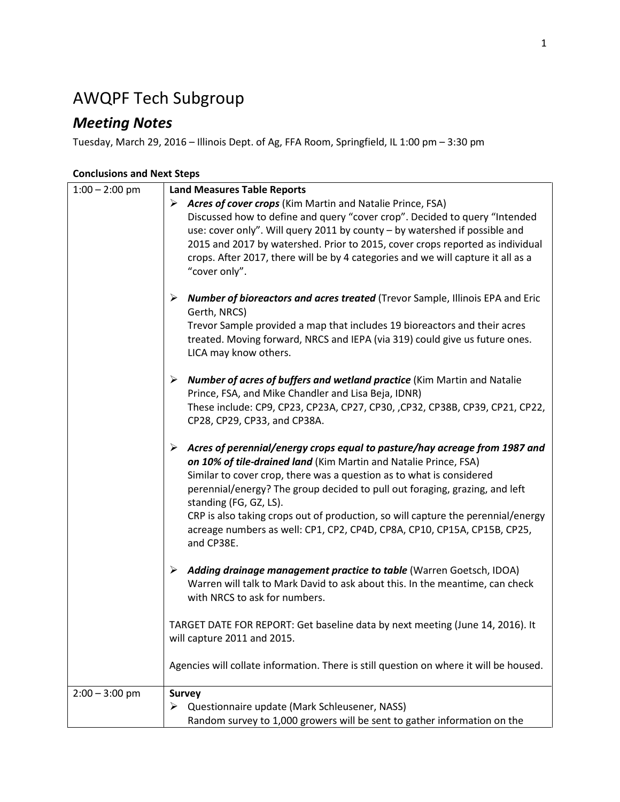## AWQPF Tech Subgroup

## *Meeting Notes*

Tuesday, March 29, 2016 – Illinois Dept. of Ag, FFA Room, Springfield, IL 1:00 pm – 3:30 pm

## **Conclusions and Next Steps**

| $1:00 - 2:00$ pm | <b>Land Measures Table Reports</b>                                                          |
|------------------|---------------------------------------------------------------------------------------------|
|                  | > Acres of cover crops (Kim Martin and Natalie Prince, FSA)                                 |
|                  | Discussed how to define and query "cover crop". Decided to query "Intended                  |
|                  | use: cover only". Will query 2011 by county - by watershed if possible and                  |
|                  | 2015 and 2017 by watershed. Prior to 2015, cover crops reported as individual               |
|                  | crops. After 2017, there will be by 4 categories and we will capture it all as a            |
|                  | "cover only".                                                                               |
|                  |                                                                                             |
|                  | <b>Number of bioreactors and acres treated</b> (Trevor Sample, Illinois EPA and Eric<br>➤   |
|                  | Gerth, NRCS)                                                                                |
|                  | Trevor Sample provided a map that includes 19 bioreactors and their acres                   |
|                  |                                                                                             |
|                  | treated. Moving forward, NRCS and IEPA (via 319) could give us future ones.                 |
|                  | LICA may know others.                                                                       |
|                  | $\triangleright$ Number of acres of buffers and wetland practice (Kim Martin and Natalie    |
|                  | Prince, FSA, and Mike Chandler and Lisa Beja, IDNR)                                         |
|                  | These include: CP9, CP23, CP23A, CP27, CP30, ,CP32, CP38B, CP39, CP21, CP22,                |
|                  |                                                                                             |
|                  | CP28, CP29, CP33, and CP38A.                                                                |
|                  | $\triangleright$ Acres of perennial/energy crops equal to pasture/hay acreage from 1987 and |
|                  | on 10% of tile-drained land (Kim Martin and Natalie Prince, FSA)                            |
|                  | Similar to cover crop, there was a question as to what is considered                        |
|                  | perennial/energy? The group decided to pull out foraging, grazing, and left                 |
|                  | standing (FG, GZ, LS).                                                                      |
|                  | CRP is also taking crops out of production, so will capture the perennial/energy            |
|                  | acreage numbers as well: CP1, CP2, CP4D, CP8A, CP10, CP15A, CP15B, CP25,                    |
|                  | and CP38E.                                                                                  |
|                  |                                                                                             |
|                  | > Adding drainage management practice to table (Warren Goetsch, IDOA)                       |
|                  | Warren will talk to Mark David to ask about this. In the meantime, can check                |
|                  | with NRCS to ask for numbers.                                                               |
|                  |                                                                                             |
|                  | TARGET DATE FOR REPORT: Get baseline data by next meeting (June 14, 2016). It               |
|                  | will capture 2011 and 2015.                                                                 |
|                  |                                                                                             |
|                  | Agencies will collate information. There is still question on where it will be housed.      |
|                  |                                                                                             |
| $2:00 - 3:00$ pm | <b>Survey</b>                                                                               |
|                  | Questionnaire update (Mark Schleusener, NASS)<br>➤                                          |
|                  | Random survey to 1,000 growers will be sent to gather information on the                    |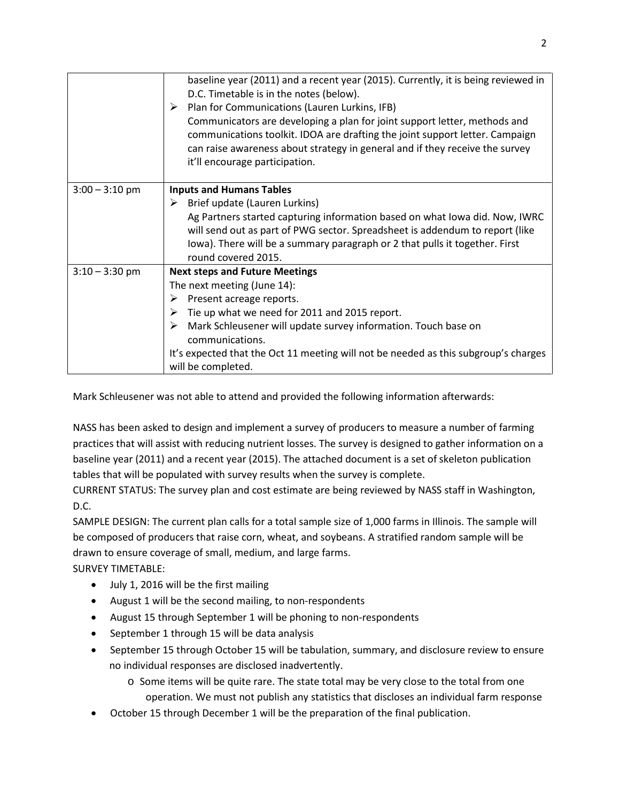|                  | baseline year (2011) and a recent year (2015). Currently, it is being reviewed in<br>D.C. Timetable is in the notes (below).<br>Plan for Communications (Lauren Lurkins, IFB)<br>➤<br>Communicators are developing a plan for joint support letter, methods and<br>communications toolkit. IDOA are drafting the joint support letter. Campaign<br>can raise awareness about strategy in general and if they receive the survey<br>it'll encourage participation. |
|------------------|-------------------------------------------------------------------------------------------------------------------------------------------------------------------------------------------------------------------------------------------------------------------------------------------------------------------------------------------------------------------------------------------------------------------------------------------------------------------|
| $3:00 - 3:10$ pm | <b>Inputs and Humans Tables</b><br>Brief update (Lauren Lurkins)<br>➤<br>Ag Partners started capturing information based on what Iowa did. Now, IWRC<br>will send out as part of PWG sector. Spreadsheet is addendum to report (like<br>lowa). There will be a summary paragraph or 2 that pulls it together. First<br>round covered 2015.                                                                                                                        |
| $3:10 - 3:30$ pm | <b>Next steps and Future Meetings</b><br>The next meeting (June 14):<br>Present acreage reports.<br>➤<br>Tie up what we need for 2011 and 2015 report.<br>➤<br>Mark Schleusener will update survey information. Touch base on<br>⋗<br>communications.<br>It's expected that the Oct 11 meeting will not be needed as this subgroup's charges<br>will be completed.                                                                                                |

Mark Schleusener was not able to attend and provided the following information afterwards:

NASS has been asked to design and implement a survey of producers to measure a number of farming practices that will assist with reducing nutrient losses. The survey is designed to gather information on a baseline year (2011) and a recent year (2015). The attached document is a set of skeleton publication tables that will be populated with survey results when the survey is complete.

CURRENT STATUS: The survey plan and cost estimate are being reviewed by NASS staff in Washington, D.C.

SAMPLE DESIGN: The current plan calls for a total sample size of 1,000 farms in Illinois. The sample will be composed of producers that raise corn, wheat, and soybeans. A stratified random sample will be drawn to ensure coverage of small, medium, and large farms.

SURVEY TIMETABLE:

- July 1, 2016 will be the first mailing
- August 1 will be the second mailing, to non-respondents
- August 15 through September 1 will be phoning to non-respondents
- September 1 through 15 will be data analysis
- September 15 through October 15 will be tabulation, summary, and disclosure review to ensure no individual responses are disclosed inadvertently.
	- o Some items will be quite rare. The state total may be very close to the total from one
		- operation. We must not publish any statistics that discloses an individual farm response
- October 15 through December 1 will be the preparation of the final publication.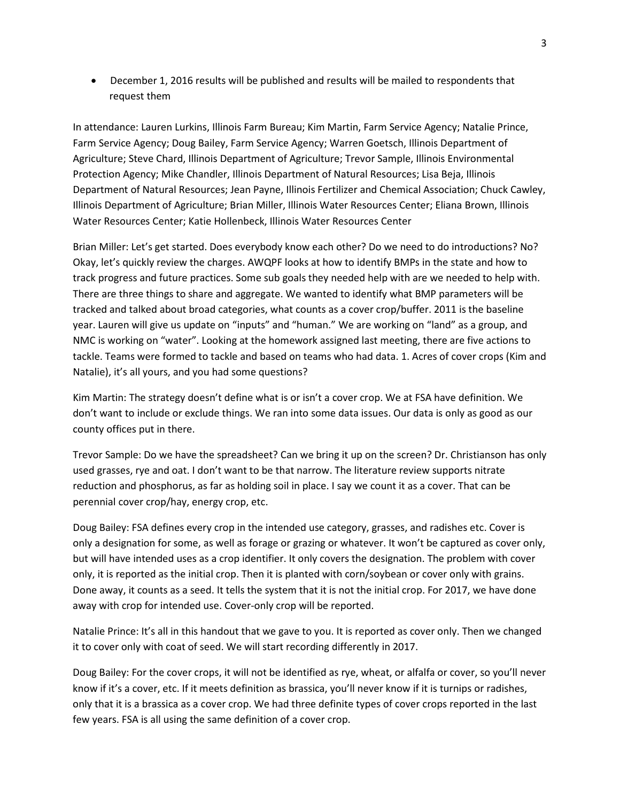• December 1, 2016 results will be published and results will be mailed to respondents that request them

In attendance: Lauren Lurkins, Illinois Farm Bureau; Kim Martin, Farm Service Agency; Natalie Prince, Farm Service Agency; Doug Bailey, Farm Service Agency; Warren Goetsch, Illinois Department of Agriculture; Steve Chard, Illinois Department of Agriculture; Trevor Sample, Illinois Environmental Protection Agency; Mike Chandler, Illinois Department of Natural Resources; Lisa Beja, Illinois Department of Natural Resources; Jean Payne, Illinois Fertilizer and Chemical Association; Chuck Cawley, Illinois Department of Agriculture; Brian Miller, Illinois Water Resources Center; Eliana Brown, Illinois Water Resources Center; Katie Hollenbeck, Illinois Water Resources Center

Brian Miller: Let's get started. Does everybody know each other? Do we need to do introductions? No? Okay, let's quickly review the charges. AWQPF looks at how to identify BMPs in the state and how to track progress and future practices. Some sub goals they needed help with are we needed to help with. There are three things to share and aggregate. We wanted to identify what BMP parameters will be tracked and talked about broad categories, what counts as a cover crop/buffer. 2011 is the baseline year. Lauren will give us update on "inputs" and "human." We are working on "land" as a group, and NMC is working on "water". Looking at the homework assigned last meeting, there are five actions to tackle. Teams were formed to tackle and based on teams who had data. 1. Acres of cover crops (Kim and Natalie), it's all yours, and you had some questions?

Kim Martin: The strategy doesn't define what is or isn't a cover crop. We at FSA have definition. We don't want to include or exclude things. We ran into some data issues. Our data is only as good as our county offices put in there.

Trevor Sample: Do we have the spreadsheet? Can we bring it up on the screen? Dr. Christianson has only used grasses, rye and oat. I don't want to be that narrow. The literature review supports nitrate reduction and phosphorus, as far as holding soil in place. I say we count it as a cover. That can be perennial cover crop/hay, energy crop, etc.

Doug Bailey: FSA defines every crop in the intended use category, grasses, and radishes etc. Cover is only a designation for some, as well as forage or grazing or whatever. It won't be captured as cover only, but will have intended uses as a crop identifier. It only covers the designation. The problem with cover only, it is reported as the initial crop. Then it is planted with corn/soybean or cover only with grains. Done away, it counts as a seed. It tells the system that it is not the initial crop. For 2017, we have done away with crop for intended use. Cover-only crop will be reported.

Natalie Prince: It's all in this handout that we gave to you. It is reported as cover only. Then we changed it to cover only with coat of seed. We will start recording differently in 2017.

Doug Bailey: For the cover crops, it will not be identified as rye, wheat, or alfalfa or cover, so you'll never know if it's a cover, etc. If it meets definition as brassica, you'll never know if it is turnips or radishes, only that it is a brassica as a cover crop. We had three definite types of cover crops reported in the last few years. FSA is all using the same definition of a cover crop.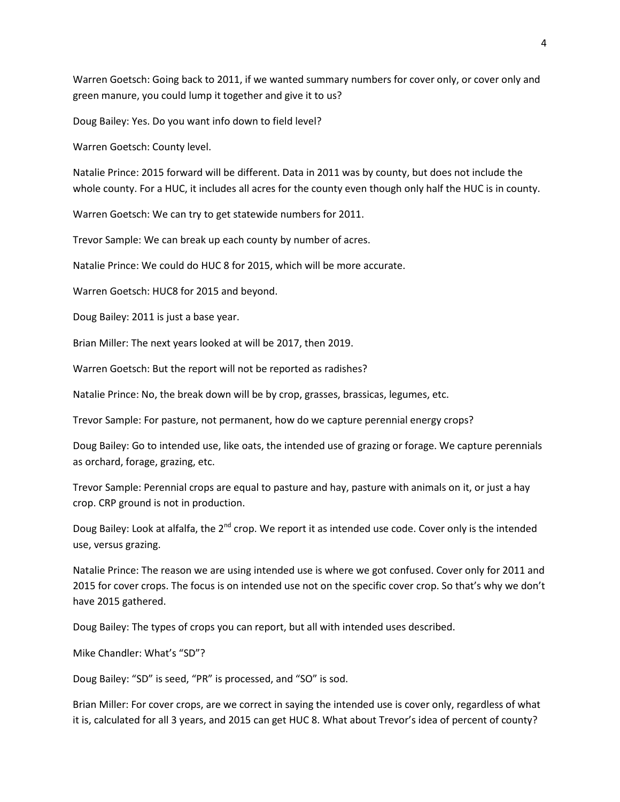Warren Goetsch: Going back to 2011, if we wanted summary numbers for cover only, or cover only and green manure, you could lump it together and give it to us?

Doug Bailey: Yes. Do you want info down to field level?

Warren Goetsch: County level.

Natalie Prince: 2015 forward will be different. Data in 2011 was by county, but does not include the whole county. For a HUC, it includes all acres for the county even though only half the HUC is in county.

Warren Goetsch: We can try to get statewide numbers for 2011.

Trevor Sample: We can break up each county by number of acres.

Natalie Prince: We could do HUC 8 for 2015, which will be more accurate.

Warren Goetsch: HUC8 for 2015 and beyond.

Doug Bailey: 2011 is just a base year.

Brian Miller: The next years looked at will be 2017, then 2019.

Warren Goetsch: But the report will not be reported as radishes?

Natalie Prince: No, the break down will be by crop, grasses, brassicas, legumes, etc.

Trevor Sample: For pasture, not permanent, how do we capture perennial energy crops?

Doug Bailey: Go to intended use, like oats, the intended use of grazing or forage. We capture perennials as orchard, forage, grazing, etc.

Trevor Sample: Perennial crops are equal to pasture and hay, pasture with animals on it, or just a hay crop. CRP ground is not in production.

Doug Bailey: Look at alfalfa, the  $2^{nd}$  crop. We report it as intended use code. Cover only is the intended use, versus grazing.

Natalie Prince: The reason we are using intended use is where we got confused. Cover only for 2011 and 2015 for cover crops. The focus is on intended use not on the specific cover crop. So that's why we don't have 2015 gathered.

Doug Bailey: The types of crops you can report, but all with intended uses described.

Mike Chandler: What's "SD"?

Doug Bailey: "SD" is seed, "PR" is processed, and "SO" is sod.

Brian Miller: For cover crops, are we correct in saying the intended use is cover only, regardless of what it is, calculated for all 3 years, and 2015 can get HUC 8. What about Trevor's idea of percent of county?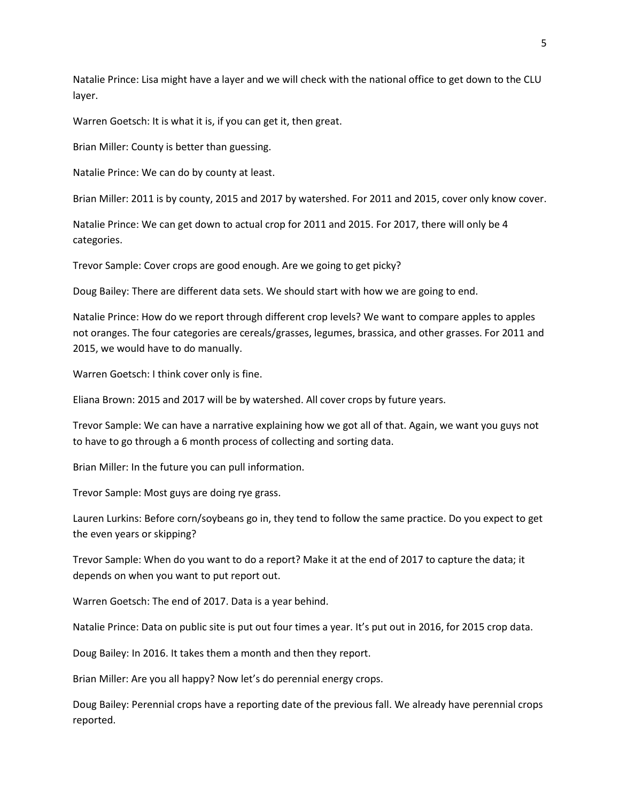Natalie Prince: Lisa might have a layer and we will check with the national office to get down to the CLU layer.

Warren Goetsch: It is what it is, if you can get it, then great.

Brian Miller: County is better than guessing.

Natalie Prince: We can do by county at least.

Brian Miller: 2011 is by county, 2015 and 2017 by watershed. For 2011 and 2015, cover only know cover.

Natalie Prince: We can get down to actual crop for 2011 and 2015. For 2017, there will only be 4 categories.

Trevor Sample: Cover crops are good enough. Are we going to get picky?

Doug Bailey: There are different data sets. We should start with how we are going to end.

Natalie Prince: How do we report through different crop levels? We want to compare apples to apples not oranges. The four categories are cereals/grasses, legumes, brassica, and other grasses. For 2011 and 2015, we would have to do manually.

Warren Goetsch: I think cover only is fine.

Eliana Brown: 2015 and 2017 will be by watershed. All cover crops by future years.

Trevor Sample: We can have a narrative explaining how we got all of that. Again, we want you guys not to have to go through a 6 month process of collecting and sorting data.

Brian Miller: In the future you can pull information.

Trevor Sample: Most guys are doing rye grass.

Lauren Lurkins: Before corn/soybeans go in, they tend to follow the same practice. Do you expect to get the even years or skipping?

Trevor Sample: When do you want to do a report? Make it at the end of 2017 to capture the data; it depends on when you want to put report out.

Warren Goetsch: The end of 2017. Data is a year behind.

Natalie Prince: Data on public site is put out four times a year. It's put out in 2016, for 2015 crop data.

Doug Bailey: In 2016. It takes them a month and then they report.

Brian Miller: Are you all happy? Now let's do perennial energy crops.

Doug Bailey: Perennial crops have a reporting date of the previous fall. We already have perennial crops reported.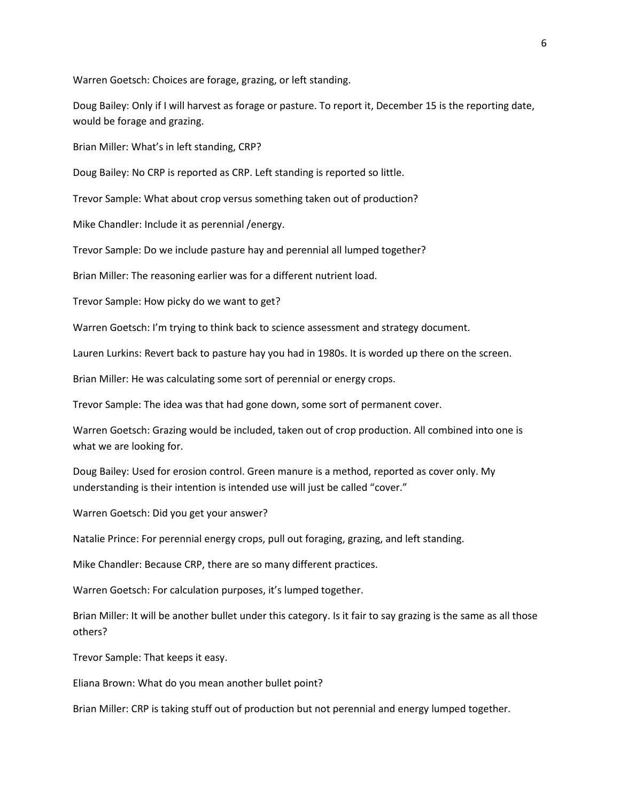Warren Goetsch: Choices are forage, grazing, or left standing.

Doug Bailey: Only if I will harvest as forage or pasture. To report it, December 15 is the reporting date, would be forage and grazing.

Brian Miller: What's in left standing, CRP?

Doug Bailey: No CRP is reported as CRP. Left standing is reported so little.

Trevor Sample: What about crop versus something taken out of production?

Mike Chandler: Include it as perennial /energy.

Trevor Sample: Do we include pasture hay and perennial all lumped together?

Brian Miller: The reasoning earlier was for a different nutrient load.

Trevor Sample: How picky do we want to get?

Warren Goetsch: I'm trying to think back to science assessment and strategy document.

Lauren Lurkins: Revert back to pasture hay you had in 1980s. It is worded up there on the screen.

Brian Miller: He was calculating some sort of perennial or energy crops.

Trevor Sample: The idea was that had gone down, some sort of permanent cover.

Warren Goetsch: Grazing would be included, taken out of crop production. All combined into one is what we are looking for.

Doug Bailey: Used for erosion control. Green manure is a method, reported as cover only. My understanding is their intention is intended use will just be called "cover."

Warren Goetsch: Did you get your answer?

Natalie Prince: For perennial energy crops, pull out foraging, grazing, and left standing.

Mike Chandler: Because CRP, there are so many different practices.

Warren Goetsch: For calculation purposes, it's lumped together.

Brian Miller: It will be another bullet under this category. Is it fair to say grazing is the same as all those others?

Trevor Sample: That keeps it easy.

Eliana Brown: What do you mean another bullet point?

Brian Miller: CRP is taking stuff out of production but not perennial and energy lumped together.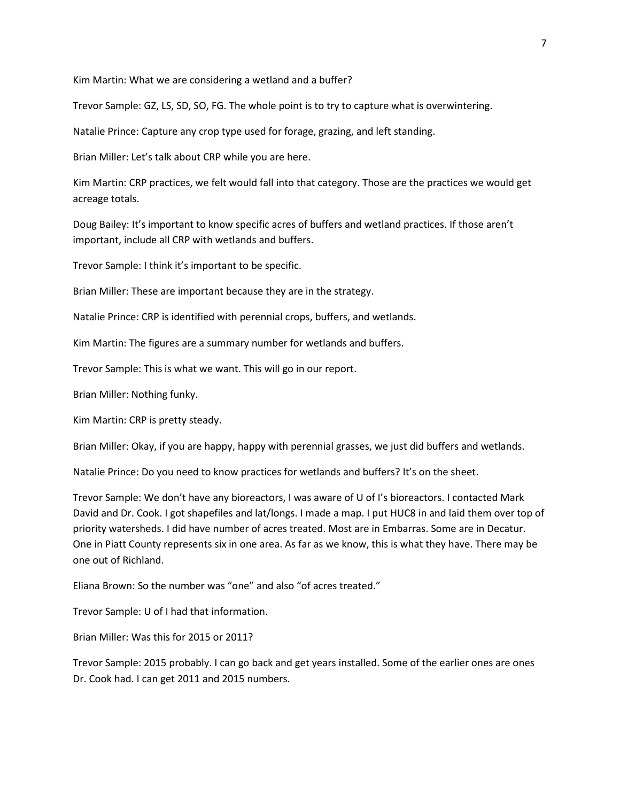Kim Martin: What we are considering a wetland and a buffer?

Trevor Sample: GZ, LS, SD, SO, FG. The whole point is to try to capture what is overwintering.

Natalie Prince: Capture any crop type used for forage, grazing, and left standing.

Brian Miller: Let's talk about CRP while you are here.

Kim Martin: CRP practices, we felt would fall into that category. Those are the practices we would get acreage totals.

Doug Bailey: It's important to know specific acres of buffers and wetland practices. If those aren't important, include all CRP with wetlands and buffers.

Trevor Sample: I think it's important to be specific.

Brian Miller: These are important because they are in the strategy.

Natalie Prince: CRP is identified with perennial crops, buffers, and wetlands.

Kim Martin: The figures are a summary number for wetlands and buffers.

Trevor Sample: This is what we want. This will go in our report.

Brian Miller: Nothing funky.

Kim Martin: CRP is pretty steady.

Brian Miller: Okay, if you are happy, happy with perennial grasses, we just did buffers and wetlands.

Natalie Prince: Do you need to know practices for wetlands and buffers? It's on the sheet.

Trevor Sample: We don't have any bioreactors, I was aware of U of I's bioreactors. I contacted Mark David and Dr. Cook. I got shapefiles and lat/longs. I made a map. I put HUC8 in and laid them over top of priority watersheds. I did have number of acres treated. Most are in Embarras. Some are in Decatur. One in Piatt County represents six in one area. As far as we know, this is what they have. There may be one out of Richland.

Eliana Brown: So the number was "one" and also "of acres treated."

Trevor Sample: U of I had that information.

Brian Miller: Was this for 2015 or 2011?

Trevor Sample: 2015 probably. I can go back and get years installed. Some of the earlier ones are ones Dr. Cook had. I can get 2011 and 2015 numbers.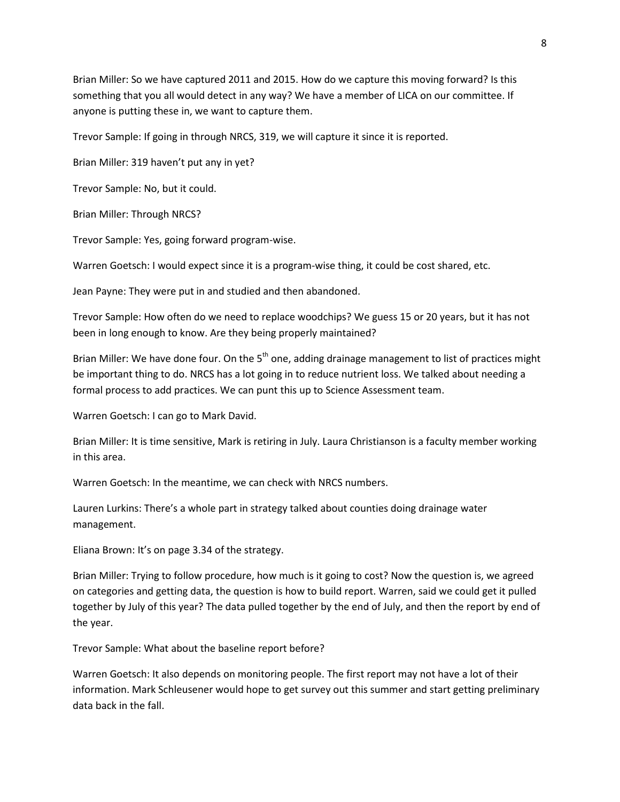Brian Miller: So we have captured 2011 and 2015. How do we capture this moving forward? Is this something that you all would detect in any way? We have a member of LICA on our committee. If anyone is putting these in, we want to capture them.

Trevor Sample: If going in through NRCS, 319, we will capture it since it is reported.

Brian Miller: 319 haven't put any in yet?

Trevor Sample: No, but it could.

Brian Miller: Through NRCS?

Trevor Sample: Yes, going forward program-wise.

Warren Goetsch: I would expect since it is a program-wise thing, it could be cost shared, etc.

Jean Payne: They were put in and studied and then abandoned.

Trevor Sample: How often do we need to replace woodchips? We guess 15 or 20 years, but it has not been in long enough to know. Are they being properly maintained?

Brian Miller: We have done four. On the  $5<sup>th</sup>$  one, adding drainage management to list of practices might be important thing to do. NRCS has a lot going in to reduce nutrient loss. We talked about needing a formal process to add practices. We can punt this up to Science Assessment team.

Warren Goetsch: I can go to Mark David.

Brian Miller: It is time sensitive, Mark is retiring in July. Laura Christianson is a faculty member working in this area.

Warren Goetsch: In the meantime, we can check with NRCS numbers.

Lauren Lurkins: There's a whole part in strategy talked about counties doing drainage water management.

Eliana Brown: It's on page 3.34 of the strategy.

Brian Miller: Trying to follow procedure, how much is it going to cost? Now the question is, we agreed on categories and getting data, the question is how to build report. Warren, said we could get it pulled together by July of this year? The data pulled together by the end of July, and then the report by end of the year.

Trevor Sample: What about the baseline report before?

Warren Goetsch: It also depends on monitoring people. The first report may not have a lot of their information. Mark Schleusener would hope to get survey out this summer and start getting preliminary data back in the fall.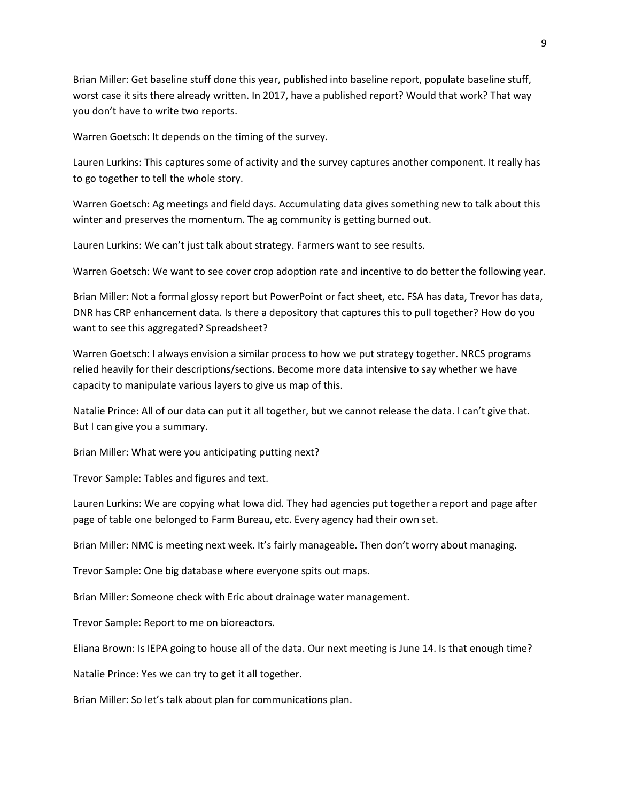Brian Miller: Get baseline stuff done this year, published into baseline report, populate baseline stuff, worst case it sits there already written. In 2017, have a published report? Would that work? That way you don't have to write two reports.

Warren Goetsch: It depends on the timing of the survey.

Lauren Lurkins: This captures some of activity and the survey captures another component. It really has to go together to tell the whole story.

Warren Goetsch: Ag meetings and field days. Accumulating data gives something new to talk about this winter and preserves the momentum. The ag community is getting burned out.

Lauren Lurkins: We can't just talk about strategy. Farmers want to see results.

Warren Goetsch: We want to see cover crop adoption rate and incentive to do better the following year.

Brian Miller: Not a formal glossy report but PowerPoint or fact sheet, etc. FSA has data, Trevor has data, DNR has CRP enhancement data. Is there a depository that captures this to pull together? How do you want to see this aggregated? Spreadsheet?

Warren Goetsch: I always envision a similar process to how we put strategy together. NRCS programs relied heavily for their descriptions/sections. Become more data intensive to say whether we have capacity to manipulate various layers to give us map of this.

Natalie Prince: All of our data can put it all together, but we cannot release the data. I can't give that. But I can give you a summary.

Brian Miller: What were you anticipating putting next?

Trevor Sample: Tables and figures and text.

Lauren Lurkins: We are copying what Iowa did. They had agencies put together a report and page after page of table one belonged to Farm Bureau, etc. Every agency had their own set.

Brian Miller: NMC is meeting next week. It's fairly manageable. Then don't worry about managing.

Trevor Sample: One big database where everyone spits out maps.

Brian Miller: Someone check with Eric about drainage water management.

Trevor Sample: Report to me on bioreactors.

Eliana Brown: Is IEPA going to house all of the data. Our next meeting is June 14. Is that enough time?

Natalie Prince: Yes we can try to get it all together.

Brian Miller: So let's talk about plan for communications plan.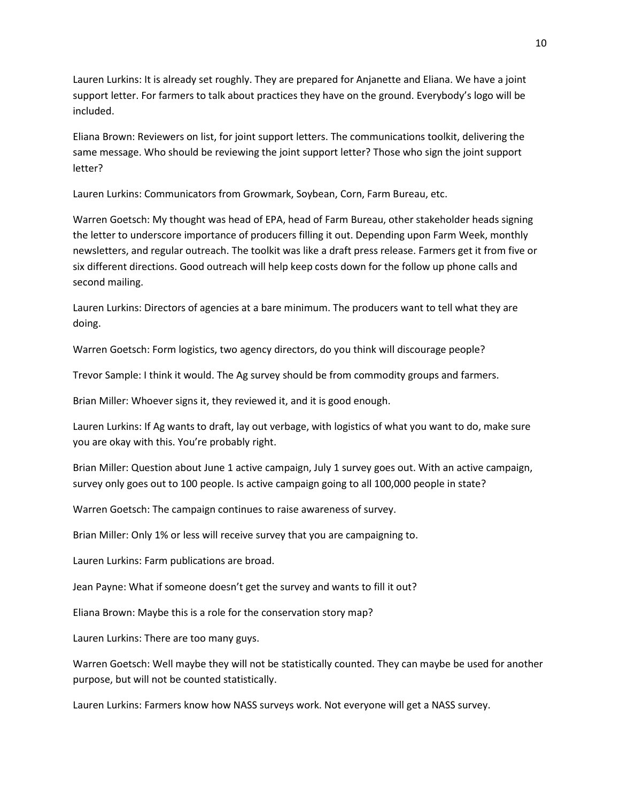Lauren Lurkins: It is already set roughly. They are prepared for Anjanette and Eliana. We have a joint support letter. For farmers to talk about practices they have on the ground. Everybody's logo will be included.

Eliana Brown: Reviewers on list, for joint support letters. The communications toolkit, delivering the same message. Who should be reviewing the joint support letter? Those who sign the joint support letter?

Lauren Lurkins: Communicators from Growmark, Soybean, Corn, Farm Bureau, etc.

Warren Goetsch: My thought was head of EPA, head of Farm Bureau, other stakeholder heads signing the letter to underscore importance of producers filling it out. Depending upon Farm Week, monthly newsletters, and regular outreach. The toolkit was like a draft press release. Farmers get it from five or six different directions. Good outreach will help keep costs down for the follow up phone calls and second mailing.

Lauren Lurkins: Directors of agencies at a bare minimum. The producers want to tell what they are doing.

Warren Goetsch: Form logistics, two agency directors, do you think will discourage people?

Trevor Sample: I think it would. The Ag survey should be from commodity groups and farmers.

Brian Miller: Whoever signs it, they reviewed it, and it is good enough.

Lauren Lurkins: If Ag wants to draft, lay out verbage, with logistics of what you want to do, make sure you are okay with this. You're probably right.

Brian Miller: Question about June 1 active campaign, July 1 survey goes out. With an active campaign, survey only goes out to 100 people. Is active campaign going to all 100,000 people in state?

Warren Goetsch: The campaign continues to raise awareness of survey.

Brian Miller: Only 1% or less will receive survey that you are campaigning to.

Lauren Lurkins: Farm publications are broad.

Jean Payne: What if someone doesn't get the survey and wants to fill it out?

Eliana Brown: Maybe this is a role for the conservation story map?

Lauren Lurkins: There are too many guys.

Warren Goetsch: Well maybe they will not be statistically counted. They can maybe be used for another purpose, but will not be counted statistically.

Lauren Lurkins: Farmers know how NASS surveys work. Not everyone will get a NASS survey.